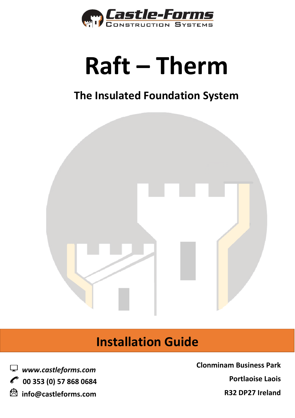

# Raft - Therm

## The Insulated Foundation System



## **Installation Guide**



**Clonminam Business Park Portlaoise Laois R32 DP27 Ireland**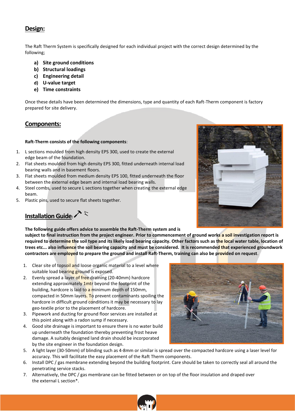#### **Design:**

The Raft Therm System is specifically designed for each individual project with the correct design determined by the following;

- **a) Site ground conditions**
- **b) Structural loadings**
- **c) Engineering detail**
- **d) U-value target**
- **e) Time constraints**

Once these details have been determined the dimensions, type and quantity of each Raft-Therm component is factory prepared for site delivery.

#### **Components:**

#### **Raft-Therm consists of the following components**:

- 1. L sections moulded from high density EPS 300, used to create the external edge beam of the foundation.
- 2. Flat sheets moulded from high density EPS 300, fitted underneath internal load bearing walls and in basement floors.
- 3. Flat sheets moulded from medium density EPS 100, fitted underneath the floor between the external edge beam and internal load bearing walls.
- 4. Steel combs, used to secure L sections together when creating the external edge beam.
- 5. Plastic pins, used to secure flat sheets together.

### **Installation Guide**:  $\sum$

**The following guide offers advice to assemble the Raft-Therm system and is** 

**subject to final instruction from the project engineer. Prior to commencement of ground works a soil investigation report is required to determine the soil type and its likely load bearing capacity. Other factors such as the local water table, location of trees etc... also influence the soil bearing capacity and must be considered. It is recommended that experienced groundwork contractors are employed to prepare the ground and install Raft-Therm, training can also be provided on request**.

- 1. Clear site of topsoil and loose organic material to a level where suitable load bearing ground is exposed.
- 2. Evenly spread a layer of free draining (20-40mm) hardcore extending approximately 1mtr beyond the footprint of the building, hardcore is laid to a minimum depth of 150mm, compacted in 50mm layers. To prevent contaminants spoiling the hardcore in difficult ground conditions it may be necessary to lay geo-textile prior to the placement of hardcore.
- 3. Pipework and ducting for ground floor services are installed at this point along with a radon sump if necessary.
- 4. Good site drainage is important to ensure there is no water build up underneath the foundation thereby preventing frost heave damage. A suitably designed land drain should be incorporated by the site engineer in the foundation design.
- 5. A light layer (30-50mm) of blinding such as 4-8mm or similar is spread over the compacted hardcore using a laser level for accuracy. This will facilitate the easy placement of the Raft Therm components.
- 6. Install DPC / gas membrane extending beyond the building footprint. Care should be taken to correctly seal all around the penetrating service stacks.
- 7. Alternatively, the DPC / gas membrane can be fitted between or on top of the floor insulation and draped over the external L section\*.





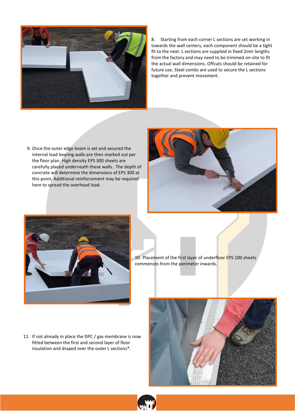

8. Starting from each corner L sections are set working in towards the wall centers, each component should be a tight fit to the next. L sections are supplied in fixed 2mtr lengths from the factory and may need to be trimmed on-site to fit the actual wall dimensions. Offcuts should be retained for future use. Steel combs are used to secure the L sections together and prevent movement.

9. Once the outer edge beam is set and secured the internal load bearing walls are then marked out per the floor plan. High density EPS 300 sheets are carefully placed underneath these walls. The depth of concrete will determine the dimensions of EPS 300 at this point. Additional reinforcement may be required here to spread the overhead load.





10. Placement of the first layer of underfloor EPS 100 sheets commences from the perimeter inwards.

11. If not already in place the DPC / gas membrane is now fitted between the first and second layer of floor insulation and draped over the outer L sections\*.